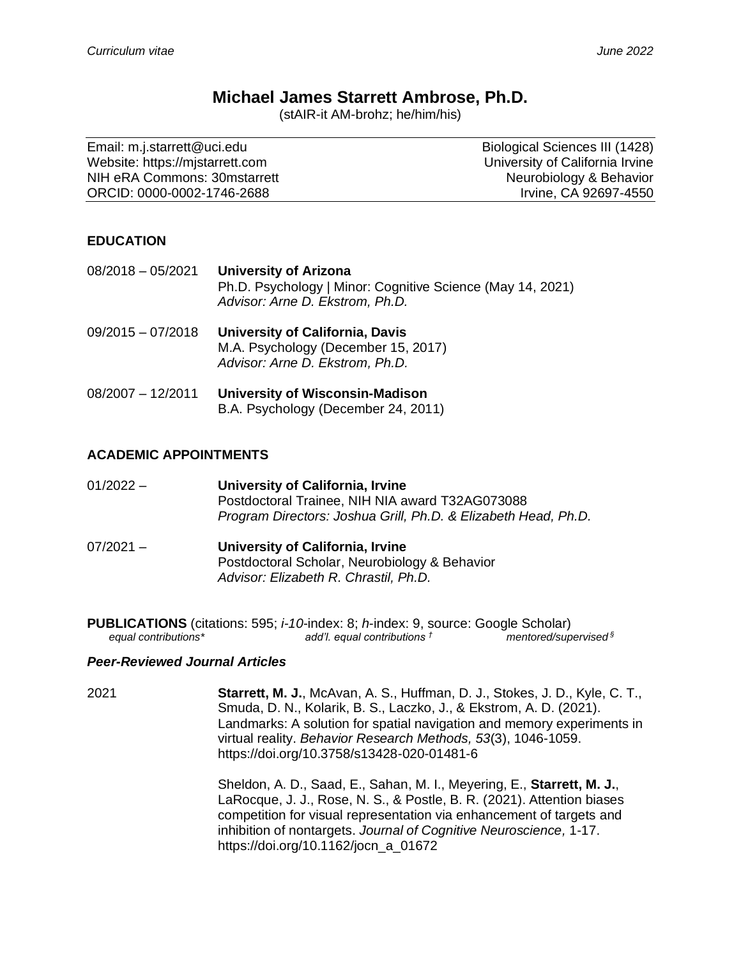# **Michael James Starrett Ambrose, Ph.D.**

(stAIR-it AM-brohz; he/him/his)

| Email: m.j.starrett@uci.edu     | Biological Sciences III (1428)  |
|---------------------------------|---------------------------------|
| Website: https://mistarrett.com | University of California Irvine |
| NIH eRA Commons: 30 mstarrett   | Neurobiology & Behavior         |
| ORCID: 0000-0002-1746-2688      | Irvine, CA 92697-4550           |

#### **EDUCATION**

08/2018 – 05/2021 **University of Arizona** Ph.D. Psychology | Minor: Cognitive Science (May 14, 2021) *Advisor: Arne D. Ekstrom, Ph.D.*

- 09/2015 07/2018 **University of California, Davis** M.A. Psychology (December 15, 2017) *Advisor: Arne D. Ekstrom, Ph.D.*
- 08/2007 12/2011 **University of Wisconsin-Madison** B.A. Psychology (December 24, 2011)

#### **ACADEMIC APPOINTMENTS**

- 01/2022 **University of California, Irvine** Postdoctoral Trainee, NIH NIA award T32AG073088 *Program Directors: Joshua Grill, Ph.D. & Elizabeth Head, Ph.D.*
- 07/2021 **University of California, Irvine** Postdoctoral Scholar, Neurobiology & Behavior *Advisor: Elizabeth R. Chrastil, Ph.D.*

**PUBLICATIONS** (citations: 595; *i-10*-index: 8; *h*-index: 9, source: Google Scholar) *equal contributions\* add'l. equal contributions † mentored/supervised §*

#### *Peer-Reviewed Journal Articles*

2021 **Starrett, M. J.**, McAvan, A. S., Huffman, D. J., Stokes, J. D., Kyle, C. T., Smuda, D. N., Kolarik, B. S., Laczko, J., & Ekstrom, A. D. (2021). Landmarks: A solution for spatial navigation and memory experiments in virtual reality. *Behavior Research Methods, 53*(3), 1046-1059. https://doi.org/10.3758/s13428-020-01481-6

> Sheldon, A. D., Saad, E., Sahan, M. I., Meyering, E., **Starrett, M. J.**, LaRocque, J. J., Rose, N. S., & Postle, B. R. (2021). Attention biases competition for visual representation via enhancement of targets and inhibition of nontargets. *Journal of Cognitive Neuroscience,* 1-17. https://doi.org/10.1162/jocn\_a\_01672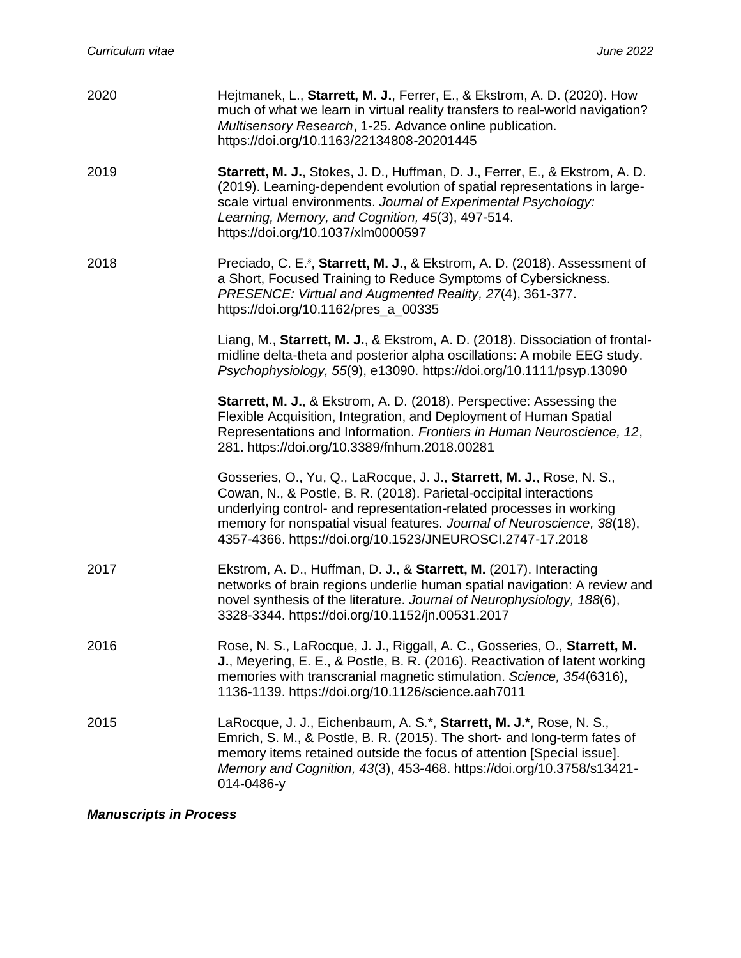| 2020 | Hejtmanek, L., Starrett, M. J., Ferrer, E., & Ekstrom, A. D. (2020). How<br>much of what we learn in virtual reality transfers to real-world navigation?<br>Multisensory Research, 1-25. Advance online publication.<br>https://doi.org/10.1163/22134808-20201445                                                                                          |
|------|------------------------------------------------------------------------------------------------------------------------------------------------------------------------------------------------------------------------------------------------------------------------------------------------------------------------------------------------------------|
| 2019 | Starrett, M. J., Stokes, J. D., Huffman, D. J., Ferrer, E., & Ekstrom, A. D.<br>(2019). Learning-dependent evolution of spatial representations in large-<br>scale virtual environments. Journal of Experimental Psychology:<br>Learning, Memory, and Cognition, 45(3), 497-514.<br>https://doi.org/10.1037/xlm0000597                                     |
| 2018 | Preciado, C. E. <sup>§</sup> , Starrett, M. J., & Ekstrom, A. D. (2018). Assessment of<br>a Short, Focused Training to Reduce Symptoms of Cybersickness.<br>PRESENCE: Virtual and Augmented Reality, 27(4), 361-377.<br>https://doi.org/10.1162/pres_a_00335                                                                                               |
|      | Liang, M., Starrett, M. J., & Ekstrom, A. D. (2018). Dissociation of frontal-<br>midline delta-theta and posterior alpha oscillations: A mobile EEG study.<br>Psychophysiology, 55(9), e13090. https://doi.org/10.1111/psyp.13090                                                                                                                          |
|      | Starrett, M. J., & Ekstrom, A. D. (2018). Perspective: Assessing the<br>Flexible Acquisition, Integration, and Deployment of Human Spatial<br>Representations and Information. Frontiers in Human Neuroscience, 12,<br>281. https://doi.org/10.3389/fnhum.2018.00281                                                                                       |
|      | Gosseries, O., Yu, Q., LaRocque, J. J., Starrett, M. J., Rose, N. S.,<br>Cowan, N., & Postle, B. R. (2018). Parietal-occipital interactions<br>underlying control- and representation-related processes in working<br>memory for nonspatial visual features. Journal of Neuroscience, 38(18),<br>4357-4366. https://doi.org/10.1523/JNEUROSCI.2747-17.2018 |
| 2017 | Ekstrom, A. D., Huffman, D. J., & Starrett, M. (2017). Interacting<br>networks of brain regions underlie human spatial navigation: A review and<br>novel synthesis of the literature. Journal of Neurophysiology, 188(6),<br>3328-3344. https://doi.org/10.1152/jn.00531.2017                                                                              |
| 2016 | Rose, N. S., LaRocque, J. J., Riggall, A. C., Gosseries, O., Starrett, M.<br>J., Meyering, E. E., & Postle, B. R. (2016). Reactivation of latent working<br>memories with transcranial magnetic stimulation. Science, 354(6316),<br>1136-1139. https://doi.org/10.1126/science.aah7011                                                                     |
| 2015 | LaRocque, J. J., Eichenbaum, A. S.*, Starrett, M. J.*, Rose, N. S.,<br>Emrich, S. M., & Postle, B. R. (2015). The short- and long-term fates of<br>memory items retained outside the focus of attention [Special issue].<br>Memory and Cognition, 43(3), 453-468. https://doi.org/10.3758/s13421-<br>014-0486-y                                            |

# *Manuscripts in Process*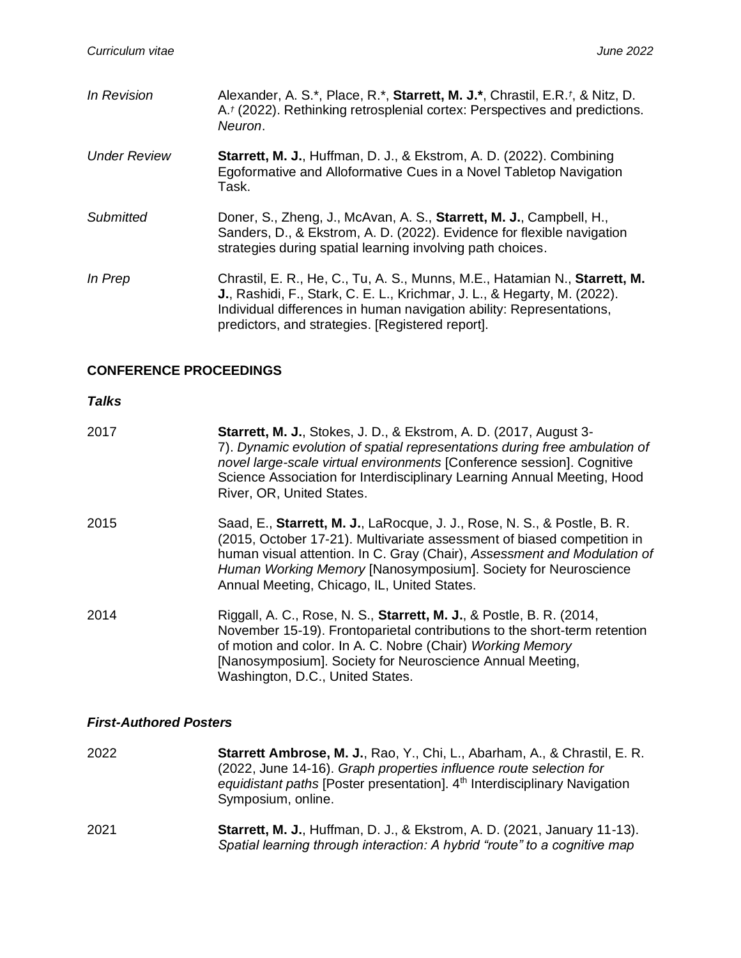| In Revision         | Alexander, A. S.*, Place, R.*, Starrett, M. J.*, Chrastil, E.R.t, & Nitz, D.<br>A. <sup>†</sup> (2022). Rethinking retrosplenial cortex: Perspectives and predictions.<br>Neuron.                                                                                                          |
|---------------------|--------------------------------------------------------------------------------------------------------------------------------------------------------------------------------------------------------------------------------------------------------------------------------------------|
| <b>Under Review</b> | Starrett, M. J., Huffman, D. J., & Ekstrom, A. D. (2022). Combining<br>Egoformative and Alloformative Cues in a Novel Tabletop Navigation<br>Task.                                                                                                                                         |
| Submitted           | Doner, S., Zheng, J., McAvan, A. S., Starrett, M. J., Campbell, H.,<br>Sanders, D., & Ekstrom, A. D. (2022). Evidence for flexible navigation<br>strategies during spatial learning involving path choices.                                                                                |
| In Prep             | Chrastil, E. R., He, C., Tu, A. S., Munns, M.E., Hatamian N., Starrett, M.<br><b>J.</b> , Rashidi, F., Stark, C. E. L., Krichmar, J. L., & Hegarty, M. (2022).<br>Individual differences in human navigation ability: Representations,<br>predictors, and strategies. [Registered report]. |

### **CONFERENCE PROCEEDINGS**

### *Talks*

| 2017 | <b>Starrett, M. J., Stokes, J. D., &amp; Ekstrom, A. D. (2017, August 3-</b><br>7). Dynamic evolution of spatial representations during free ambulation of<br>novel large-scale virtual environments [Conference session]. Cognitive<br>Science Association for Interdisciplinary Learning Annual Meeting, Hood<br>River, OR, United States.     |
|------|--------------------------------------------------------------------------------------------------------------------------------------------------------------------------------------------------------------------------------------------------------------------------------------------------------------------------------------------------|
| 2015 | Saad, E., Starrett, M. J., LaRocque, J. J., Rose, N. S., & Postle, B. R.<br>(2015, October 17-21). Multivariate assessment of biased competition in<br>human visual attention. In C. Gray (Chair), Assessment and Modulation of<br>Human Working Memory [Nanosymposium]. Society for Neuroscience<br>Annual Meeting, Chicago, IL, United States. |
| 2014 | Riggall, A. C., Rose, N. S., Starrett, M. J., & Postle, B. R. (2014,<br>November 15-19). Frontoparietal contributions to the short-term retention<br>of motion and color. In A. C. Nobre (Chair) Working Memory<br>[Nanosymposium]. Society for Neuroscience Annual Meeting,<br>Washington, D.C., United States.                                 |

### *First-Authored Posters*

| 2022 | <b>Starrett Ambrose, M. J., Rao, Y., Chi, L., Abarham, A., &amp; Chrastil, E. R.</b><br>(2022, June 14-16). Graph properties influence route selection for<br>equidistant paths [Poster presentation]. 4 <sup>th</sup> Interdisciplinary Navigation<br>Symposium, online. |
|------|---------------------------------------------------------------------------------------------------------------------------------------------------------------------------------------------------------------------------------------------------------------------------|
| 2021 | <b>Starrett, M. J., Huffman, D. J., &amp; Ekstrom, A. D. (2021, January 11-13).</b><br>Spatial learning through interaction: A hybrid "route" to a cognitive map                                                                                                          |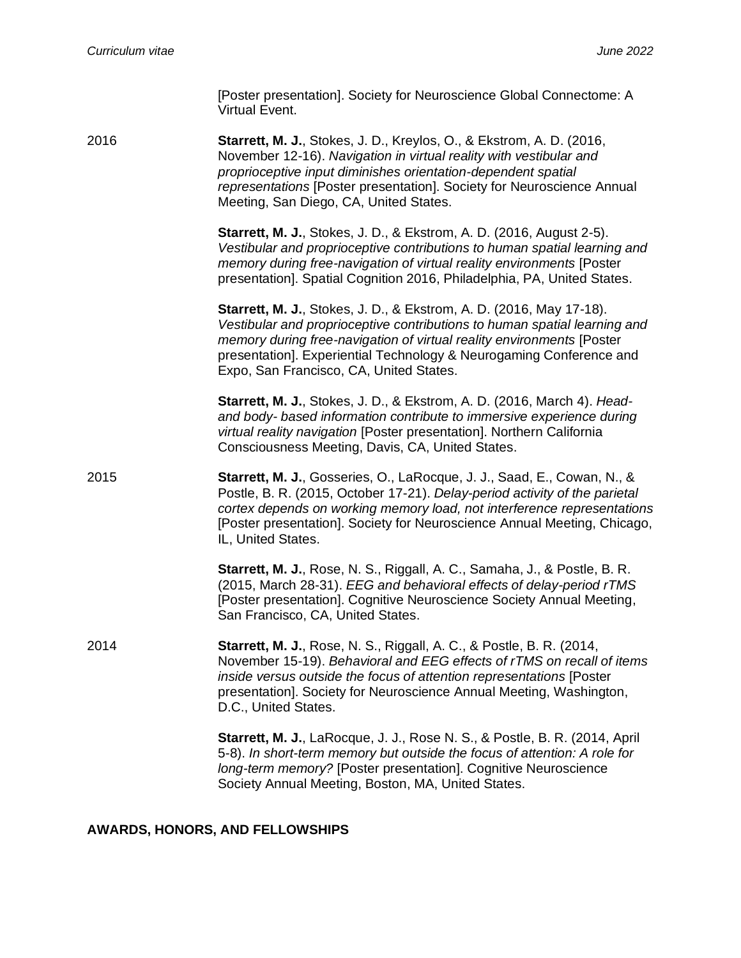[Poster presentation]. Society for Neuroscience Global Connectome: A Virtual Event.

2016 **Starrett, M. J.**, Stokes, J. D., Kreylos, O., & Ekstrom, A. D. (2016, November 12-16). *Navigation in virtual reality with vestibular and proprioceptive input diminishes orientation-dependent spatial representations* [Poster presentation]. Society for Neuroscience Annual Meeting, San Diego, CA, United States.

> **Starrett, M. J.**, Stokes, J. D., & Ekstrom, A. D. (2016, August 2-5). *Vestibular and proprioceptive contributions to human spatial learning and memory during free-navigation of virtual reality environments* [Poster presentation]. Spatial Cognition 2016, Philadelphia, PA, United States.

> **Starrett, M. J.**, Stokes, J. D., & Ekstrom, A. D. (2016, May 17-18). *Vestibular and proprioceptive contributions to human spatial learning and memory during free-navigation of virtual reality environments* [Poster presentation]. Experiential Technology & Neurogaming Conference and Expo, San Francisco, CA, United States.

**Starrett, M. J.**, Stokes, J. D., & Ekstrom, A. D. (2016, March 4). *Headand body- based information contribute to immersive experience during virtual reality navigation* [Poster presentation]. Northern California Consciousness Meeting, Davis, CA, United States.

2015 **Starrett, M. J.**, Gosseries, O., LaRocque, J. J., Saad, E., Cowan, N., & Postle, B. R. (2015, October 17-21). *Delay-period activity of the parietal cortex depends on working memory load, not interference representations* [Poster presentation]. Society for Neuroscience Annual Meeting, Chicago, IL, United States.

> **Starrett, M. J.**, Rose, N. S., Riggall, A. C., Samaha, J., & Postle, B. R. (2015, March 28-31). *EEG and behavioral effects of delay-period rTMS* [Poster presentation]. Cognitive Neuroscience Society Annual Meeting, San Francisco, CA, United States.

2014 **Starrett, M. J.**, Rose, N. S., Riggall, A. C., & Postle, B. R. (2014, November 15-19). *Behavioral and EEG effects of rTMS on recall of items inside versus outside the focus of attention representations* [Poster presentation]. Society for Neuroscience Annual Meeting, Washington, D.C., United States.

> **Starrett, M. J.**, LaRocque, J. J., Rose N. S., & Postle, B. R. (2014, April 5-8). *In short-term memory but outside the focus of attention: A role for long-term memory?* [Poster presentation]. Cognitive Neuroscience Society Annual Meeting, Boston, MA, United States.

#### **AWARDS, HONORS, AND FELLOWSHIPS**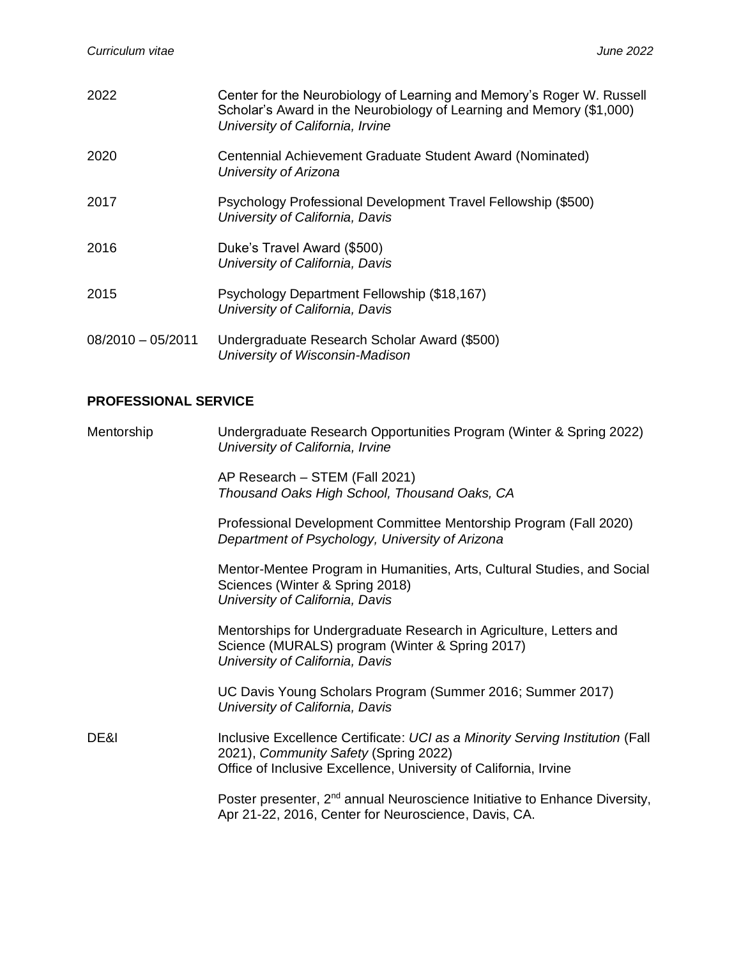| 2022                | Center for the Neurobiology of Learning and Memory's Roger W. Russell<br>Scholar's Award in the Neurobiology of Learning and Memory (\$1,000)<br>University of California, Irvine |
|---------------------|-----------------------------------------------------------------------------------------------------------------------------------------------------------------------------------|
| 2020                | Centennial Achievement Graduate Student Award (Nominated)<br>University of Arizona                                                                                                |
| 2017                | Psychology Professional Development Travel Fellowship (\$500)<br>University of California, Davis                                                                                  |
| 2016                | Duke's Travel Award (\$500)<br>University of California, Davis                                                                                                                    |
| 2015                | Psychology Department Fellowship (\$18,167)<br>University of California, Davis                                                                                                    |
| $08/2010 - 05/2011$ | Undergraduate Research Scholar Award (\$500)<br>University of Wisconsin-Madison                                                                                                   |

### **PROFESSIONAL SERVICE**

| Mentorship | Undergraduate Research Opportunities Program (Winter & Spring 2022)<br>University of California, Irvine                                                                                    |
|------------|--------------------------------------------------------------------------------------------------------------------------------------------------------------------------------------------|
|            | AP Research - STEM (Fall 2021)<br>Thousand Oaks High School, Thousand Oaks, CA                                                                                                             |
|            | Professional Development Committee Mentorship Program (Fall 2020)<br>Department of Psychology, University of Arizona                                                                       |
|            | Mentor-Mentee Program in Humanities, Arts, Cultural Studies, and Social<br>Sciences (Winter & Spring 2018)<br>University of California, Davis                                              |
|            | Mentorships for Undergraduate Research in Agriculture, Letters and<br>Science (MURALS) program (Winter & Spring 2017)<br>University of California, Davis                                   |
|            | UC Davis Young Scholars Program (Summer 2016; Summer 2017)<br>University of California, Davis                                                                                              |
| DE&I       | Inclusive Excellence Certificate: UCI as a Minority Serving Institution (Fall<br>2021), Community Safety (Spring 2022)<br>Office of Inclusive Excellence, University of California, Irvine |
|            | Poster presenter, 2 <sup>nd</sup> annual Neuroscience Initiative to Enhance Diversity,<br>Apr 21-22, 2016, Center for Neuroscience, Davis, CA.                                             |
|            |                                                                                                                                                                                            |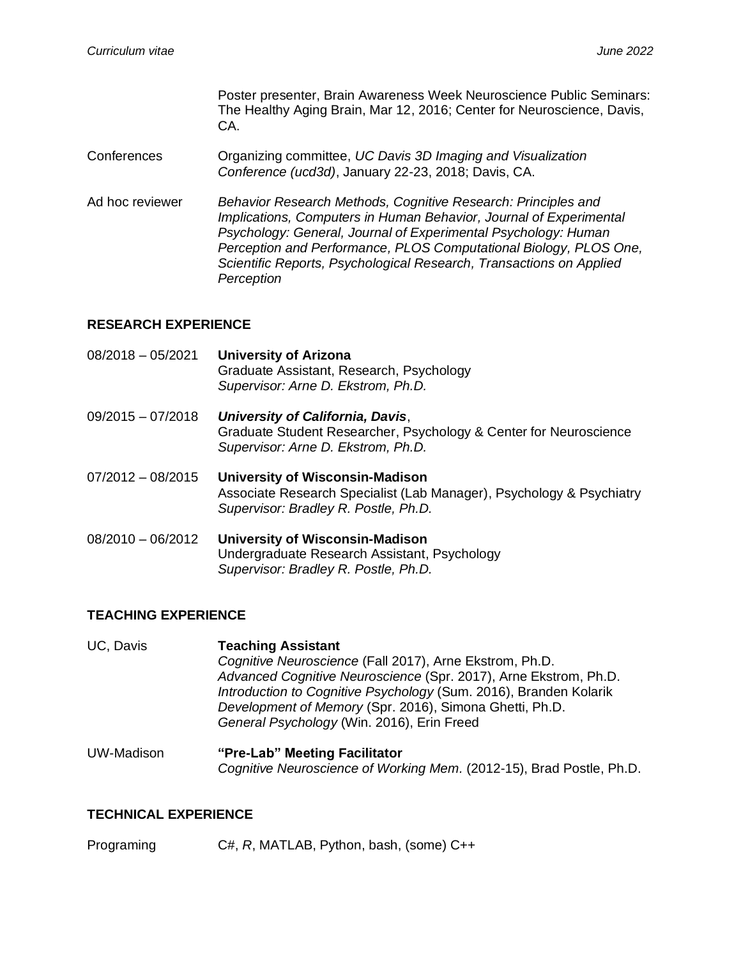Poster presenter, Brain Awareness Week Neuroscience Public Seminars: The Healthy Aging Brain, Mar 12, 2016; Center for Neuroscience, Davis, CA.

- Conferences Organizing committee, *UC Davis 3D Imaging and Visualization Conference (ucd3d)*, January 22-23, 2018; Davis, CA.
- Ad hoc reviewer *Behavior Research Methods, Cognitive Research: Principles and Implications, Computers in Human Behavior, Journal of Experimental Psychology: General, Journal of Experimental Psychology: Human Perception and Performance, PLOS Computational Biology, PLOS One, Scientific Reports, Psychological Research, Transactions on Applied Perception*

### **RESEARCH EXPERIENCE**

08/2018 – 05/2021 **University of Arizona** Graduate Assistant, Research, Psychology *Supervisor: Arne D. Ekstrom, Ph.D.* 09/2015 – 07/2018 *University of California, Davis*, Graduate Student Researcher, Psychology & Center for Neuroscience *Supervisor: Arne D. Ekstrom, Ph.D.* 07/2012 – 08/2015 **University of Wisconsin-Madison** Associate Research Specialist (Lab Manager), Psychology & Psychiatry *Supervisor: Bradley R. Postle, Ph.D.* 08/2010 – 06/2012 **University of Wisconsin-Madison** Undergraduate Research Assistant, Psychology *Supervisor: Bradley R. Postle, Ph.D.*

### **TEACHING EXPERIENCE**

- UC, Davis **Teaching Assistant** *Cognitive Neuroscience* (Fall 2017), Arne Ekstrom, Ph.D. *Advanced Cognitive Neuroscience* (Spr. 2017), Arne Ekstrom, Ph.D. *Introduction to Cognitive Psychology* (Sum. 2016), Branden Kolarik *Development of Memory* (Spr. 2016), Simona Ghetti, Ph.D. *General Psychology* (Win. 2016), Erin Freed
- UW-Madison **"Pre-Lab" Meeting Facilitator** *Cognitive Neuroscience of Working Mem.* (2012-15), Brad Postle, Ph.D.

#### **TECHNICAL EXPERIENCE**

Programing C#, *R*, MATLAB, Python, bash, (some) C++